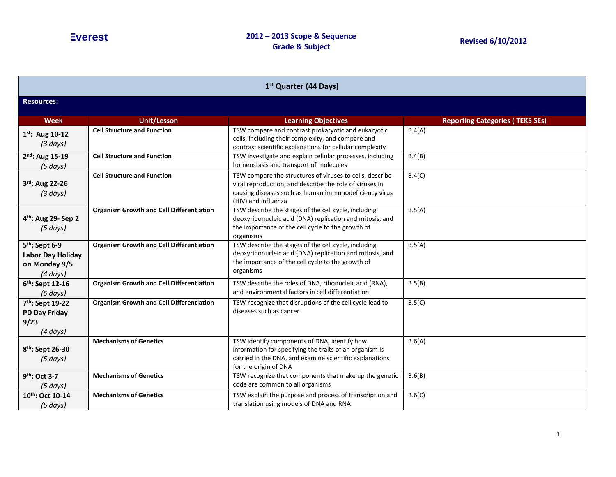| 1 <sup>st</sup> Quarter (44 Days)                                                 |                                                 |                                                                                                                                                                                                     |                                        |  |
|-----------------------------------------------------------------------------------|-------------------------------------------------|-----------------------------------------------------------------------------------------------------------------------------------------------------------------------------------------------------|----------------------------------------|--|
| <b>Resources:</b>                                                                 |                                                 |                                                                                                                                                                                                     |                                        |  |
| <b>Week</b>                                                                       | <b>Unit/Lesson</b>                              | <b>Learning Objectives</b>                                                                                                                                                                          | <b>Reporting Categories (TEKS SEs)</b> |  |
| $1^{st}$ : Aug 10-12<br>(3 days)                                                  | <b>Cell Structure and Function</b>              | TSW compare and contrast prokaryotic and eukaryotic<br>cells, including their complexity, and compare and<br>contrast scientific explanations for cellular complexity                               | B.4(A)                                 |  |
| 2 <sup>nd</sup> : Aug 15-19<br>$(5 \, days)$                                      | <b>Cell Structure and Function</b>              | TSW investigate and explain cellular processes, including<br>homeostasis and transport of molecules                                                                                                 | B.4(B)                                 |  |
| 3rd: Aug 22-26<br>$(3 \text{ days})$                                              | <b>Cell Structure and Function</b>              | TSW compare the structures of viruses to cells, describe<br>viral reproduction, and describe the role of viruses in<br>causing diseases such as human immunodeficiency virus<br>(HIV) and influenza | B.4(C)                                 |  |
| 4 <sup>th</sup> : Aug 29- Sep 2<br>(5 days)                                       | <b>Organism Growth and Cell Differentiation</b> | TSW describe the stages of the cell cycle, including<br>deoxyribonucleic acid (DNA) replication and mitosis, and<br>the importance of the cell cycle to the growth of<br>organisms                  | B.5(A)                                 |  |
| 5 <sup>th</sup> : Sept 6-9<br>Labor Day Holiday<br>on Monday 9/5<br>$(4 \, days)$ | <b>Organism Growth and Cell Differentiation</b> | TSW describe the stages of the cell cycle, including<br>deoxyribonucleic acid (DNA) replication and mitosis, and<br>the importance of the cell cycle to the growth of<br>organisms                  | B.5(A)                                 |  |
| 6 <sup>th</sup> : Sept 12-16<br>(5 days)                                          | <b>Organism Growth and Cell Differentiation</b> | TSW describe the roles of DNA, ribonucleic acid (RNA),<br>and environmental factors in cell differentiation                                                                                         | B.5(B)                                 |  |
| 7 <sup>th</sup> : Sept 19-22<br><b>PD Day Friday</b><br>9/23<br>$(4 \, days)$     | <b>Organism Growth and Cell Differentiation</b> | TSW recognize that disruptions of the cell cycle lead to<br>diseases such as cancer                                                                                                                 | B.5(C)                                 |  |
| 8 <sup>th</sup> : Sept 26-30<br>$(5 \, days)$                                     | <b>Mechanisms of Genetics</b>                   | TSW identify components of DNA, identify how<br>information for specifying the traits of an organism is<br>carried in the DNA, and examine scientific explanations<br>for the origin of DNA         | B.6(A)                                 |  |
| $9th$ : Oct 3-7<br>(5 days)                                                       | <b>Mechanisms of Genetics</b>                   | TSW recognize that components that make up the genetic<br>code are common to all organisms                                                                                                          | B.6(B)                                 |  |
| 10th: Oct 10-14<br>$(5 \, days)$                                                  | <b>Mechanisms of Genetics</b>                   | TSW explain the purpose and process of transcription and<br>translation using models of DNA and RNA                                                                                                 | B.6(C)                                 |  |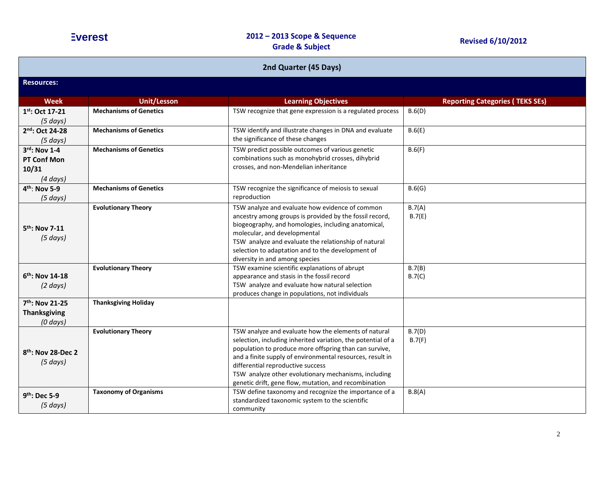| 2nd Quarter (45 Days)                                      |                               |                                                                                                                                                                                                                                                                                                                                                                                                   |                                        |  |
|------------------------------------------------------------|-------------------------------|---------------------------------------------------------------------------------------------------------------------------------------------------------------------------------------------------------------------------------------------------------------------------------------------------------------------------------------------------------------------------------------------------|----------------------------------------|--|
| <b>Resources:</b>                                          |                               |                                                                                                                                                                                                                                                                                                                                                                                                   |                                        |  |
| <b>Week</b>                                                | <b>Unit/Lesson</b>            | <b>Learning Objectives</b>                                                                                                                                                                                                                                                                                                                                                                        | <b>Reporting Categories (TEKS SEs)</b> |  |
| 1st: Oct 17-21<br>$(5 \, days)$                            | <b>Mechanisms of Genetics</b> | TSW recognize that gene expression is a regulated process                                                                                                                                                                                                                                                                                                                                         | B.6(D)                                 |  |
| 2nd: Oct 24-28<br>(5 days)                                 | <b>Mechanisms of Genetics</b> | TSW identify and illustrate changes in DNA and evaluate<br>the significance of these changes                                                                                                                                                                                                                                                                                                      | B.6(E)                                 |  |
| 3rd: Nov 1-4<br>PT Conf Mon<br>10/31<br>$(4 \text{ days})$ | <b>Mechanisms of Genetics</b> | TSW predict possible outcomes of various genetic<br>combinations such as monohybrid crosses, dihybrid<br>crosses, and non-Mendelian inheritance                                                                                                                                                                                                                                                   | B.6(F)                                 |  |
| 4 <sup>th</sup> : Nov 5-9<br>$(5 \, days)$                 | <b>Mechanisms of Genetics</b> | TSW recognize the significance of meiosis to sexual<br>reproduction                                                                                                                                                                                                                                                                                                                               | B.6(G)                                 |  |
| 5 <sup>th</sup> : Nov 7-11<br>$(5 \, days)$                | <b>Evolutionary Theory</b>    | TSW analyze and evaluate how evidence of common<br>ancestry among groups is provided by the fossil record,<br>biogeography, and homologies, including anatomical,<br>molecular, and developmental<br>TSW analyze and evaluate the relationship of natural<br>selection to adaptation and to the development of<br>diversity in and among species                                                  | B.7(A)<br>B.7(E)                       |  |
| $6th$ : Nov 14-18<br>$(2 \text{ days})$                    | <b>Evolutionary Theory</b>    | TSW examine scientific explanations of abrupt<br>appearance and stasis in the fossil record<br>TSW analyze and evaluate how natural selection<br>produces change in populations, not individuals                                                                                                                                                                                                  | B.7(B)<br>B.7(C)                       |  |
| 7th: Nov 21-25<br><b>Thanksgiving</b><br>$(0 \, days)$     | <b>Thanksgiving Holiday</b>   |                                                                                                                                                                                                                                                                                                                                                                                                   |                                        |  |
| 8th: Nov 28-Dec 2<br>$(5 \, days)$                         | <b>Evolutionary Theory</b>    | TSW analyze and evaluate how the elements of natural<br>selection, including inherited variation, the potential of a<br>population to produce more offspring than can survive,<br>and a finite supply of environmental resources, result in<br>differential reproductive success<br>TSW analyze other evolutionary mechanisms, including<br>genetic drift, gene flow, mutation, and recombination | B.7(D)<br>B.7(F)                       |  |
| 9 <sup>th</sup> : Dec 5-9<br>$(5 \, days)$                 | <b>Taxonomy of Organisms</b>  | TSW define taxonomy and recognize the importance of a<br>standardized taxonomic system to the scientific<br>community                                                                                                                                                                                                                                                                             | B.8(A)                                 |  |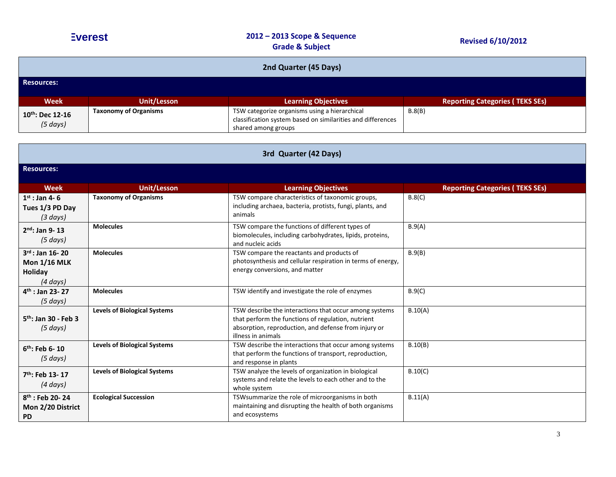| 2nd Quarter (45 Days)            |                              |                                                                                                                                     |                                        |
|----------------------------------|------------------------------|-------------------------------------------------------------------------------------------------------------------------------------|----------------------------------------|
| <b>Resources:</b>                |                              |                                                                                                                                     |                                        |
| <b>Week</b>                      | <b>Unit/Lesson</b>           | <b>Learning Objectives</b>                                                                                                          | <b>Reporting Categories (TEKS SEs)</b> |
| 10th: Dec 12-16<br>$(5 \, days)$ | <b>Taxonomy of Organisms</b> | TSW categorize organisms using a hierarchical<br>classification system based on similarities and differences<br>shared among groups | B.8(B)                                 |

| 3rd Quarter (42 Days)                                              |                                     |                                                                                                                                                                                            |                                        |  |
|--------------------------------------------------------------------|-------------------------------------|--------------------------------------------------------------------------------------------------------------------------------------------------------------------------------------------|----------------------------------------|--|
| <b>Resources:</b>                                                  |                                     |                                                                                                                                                                                            |                                        |  |
| <b>Week</b>                                                        | <b>Unit/Lesson</b>                  | <b>Learning Objectives</b>                                                                                                                                                                 | <b>Reporting Categories (TEKS SEs)</b> |  |
| $1st$ : Jan 4-6<br>Tues 1/3 PD Day<br>$(3 \, days)$                | <b>Taxonomy of Organisms</b>        | TSW compare characteristics of taxonomic groups,<br>including archaea, bacteria, protists, fungi, plants, and<br>animals                                                                   | B.8(C)                                 |  |
| $2nd$ : Jan 9-13<br>$(5 \text{ days})$                             | <b>Molecules</b>                    | TSW compare the functions of different types of<br>biomolecules, including carbohydrates, lipids, proteins,<br>and nucleic acids                                                           | B.9(A)                                 |  |
| $3^{rd}$ : Jan 16-20<br><b>Mon 1/16 MLK</b><br>Holiday<br>(4 days) | <b>Molecules</b>                    | TSW compare the reactants and products of<br>photosynthesis and cellular respiration in terms of energy,<br>energy conversions, and matter                                                 | B.9(B)                                 |  |
| $4th$ : Jan 23-27<br>(5 days)                                      | <b>Molecules</b>                    | TSW identify and investigate the role of enzymes                                                                                                                                           | B.9(C)                                 |  |
| $5th$ : Jan 30 - Feb 3<br>$(5 \, days)$                            | <b>Levels of Biological Systems</b> | TSW describe the interactions that occur among systems<br>that perform the functions of regulation, nutrient<br>absorption, reproduction, and defense from injury or<br>illness in animals | B.10(A)                                |  |
| $6th$ : Feb 6-10<br>$(5 \text{ days})$                             | <b>Levels of Biological Systems</b> | TSW describe the interactions that occur among systems<br>that perform the functions of transport, reproduction,<br>and response in plants                                                 | B.10(B)                                |  |
| $7th$ : Feb 13-17<br>(4 days)                                      | <b>Levels of Biological Systems</b> | TSW analyze the levels of organization in biological<br>systems and relate the levels to each other and to the<br>whole system                                                             | B.10(C)                                |  |
| $8th$ : Feb 20-24<br>Mon 2/20 District<br><b>PD</b>                | <b>Ecological Succession</b>        | TSW summarize the role of microorganisms in both<br>maintaining and disrupting the health of both organisms<br>and ecosystems                                                              | B.11(A)                                |  |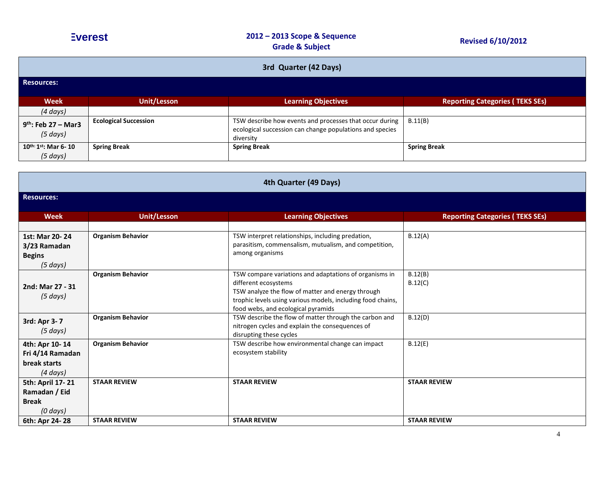| - 70 | 're |  |
|------|-----|--|
|      |     |  |
|      |     |  |

| 3rd Quarter (42 Days)                                                    |                              |                                                                                                                                                                                                                                          |                                        |  |
|--------------------------------------------------------------------------|------------------------------|------------------------------------------------------------------------------------------------------------------------------------------------------------------------------------------------------------------------------------------|----------------------------------------|--|
| <b>Resources:</b>                                                        |                              |                                                                                                                                                                                                                                          |                                        |  |
| <b>Week</b>                                                              | <b>Unit/Lesson</b>           | <b>Learning Objectives</b>                                                                                                                                                                                                               | <b>Reporting Categories (TEKS SEs)</b> |  |
| $(4 \, days)$                                                            |                              |                                                                                                                                                                                                                                          |                                        |  |
| $9th$ : Feb 27 - Mar3<br>$(5 \, days)$                                   | <b>Ecological Succession</b> | TSW describe how events and processes that occur during<br>ecological succession can change populations and species<br>diversity                                                                                                         | B.11(B)                                |  |
| $10^{th:}1^{st}$ : Mar 6-10<br>(5 days)                                  | <b>Spring Break</b>          | <b>Spring Break</b>                                                                                                                                                                                                                      | <b>Spring Break</b>                    |  |
|                                                                          |                              | 4th Quarter (49 Days)                                                                                                                                                                                                                    |                                        |  |
| <b>Resources:</b>                                                        |                              |                                                                                                                                                                                                                                          |                                        |  |
| <b>Week</b>                                                              | <b>Unit/Lesson</b>           | <b>Learning Objectives</b>                                                                                                                                                                                                               | <b>Reporting Categories (TEKS SEs)</b> |  |
|                                                                          |                              |                                                                                                                                                                                                                                          |                                        |  |
| 1st: Mar 20-24<br>3/23 Ramadan<br><b>Begins</b><br>(5 days)              | <b>Organism Behavior</b>     | TSW interpret relationships, including predation,<br>parasitism, commensalism, mutualism, and competition,<br>among organisms                                                                                                            | B.12(A)                                |  |
| 2nd: Mar 27 - 31<br>(5 days)                                             | <b>Organism Behavior</b>     | TSW compare variations and adaptations of organisms in<br>different ecosystems<br>TSW analyze the flow of matter and energy through<br>trophic levels using various models, including food chains,<br>food webs, and ecological pyramids | B.12(B)<br>B.12(C)                     |  |
| 3rd: Apr 3-7<br>(5 days)                                                 | <b>Organism Behavior</b>     | TSW describe the flow of matter through the carbon and<br>nitrogen cycles and explain the consequences of<br>disrupting these cycles                                                                                                     | B.12(D)                                |  |
| 4th: Apr 10-14<br>Fri 4/14 Ramadan<br>break starts<br>$(4 \text{ days})$ | <b>Organism Behavior</b>     | TSW describe how environmental change can impact<br>ecosystem stability                                                                                                                                                                  | B.12(E)                                |  |
| 5th: April 17-21<br>Ramadan / Eid<br><b>Break</b><br>$(0 \, days)$       | <b>STAAR REVIEW</b>          | <b>STAAR REVIEW</b>                                                                                                                                                                                                                      | <b>STAAR REVIEW</b>                    |  |
| 6th: Apr 24-28                                                           | <b>STAAR REVIEW</b>          | <b>STAAR REVIEW</b>                                                                                                                                                                                                                      | <b>STAAR REVIEW</b>                    |  |